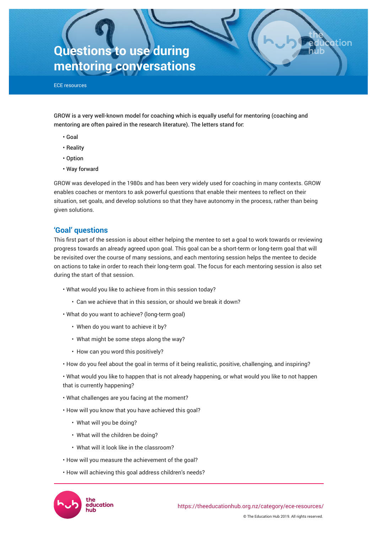# **Questions to use during mentoring conversations**

ECE resources

GROW is a very well-known model for coaching which is equally useful for mentoring (coaching and mentoring are often paired in the research literature). The letters stand for:

- Goal
- Reality
- Option
- Way forward

GROW was developed in the 1980s and has been very widely used for coaching in many contexts. GROW enables coaches or mentors to ask powerful questions that enable their mentees to reflect on their situation, set goals, and develop solutions so that they have autonomy in the process, rather than being given solutions.

# **'Goal' questions**

This first part of the session is about either helping the mentee to set a goal to work towards or reviewing progress towards an already agreed upon goal. This goal can be a short-term or long-term goal that will be revisited over the course of many sessions, and each mentoring session helps the mentee to decide on actions to take in order to reach their long-term goal. The focus for each mentoring session is also set during the start of that session.

- What would you like to achieve from in this session today?
	- Can we achieve that in this session, or should we break it down?
- What do you want to achieve? (long-term goal)
	- When do you want to achieve it by?
	- What might be some steps along the way?
	- How can you word this positively?
- How do you feel about the goal in terms of it being realistic, positive, challenging, and inspiring?

• What would you like to happen that is not already happening, or what would you like to not happen that is currently happening?

© The Education Hub 2019. All rights reserved.

ation

<https://theeducationhub.org.nz/category/ece-resources/>

- What challenges are you facing at the moment?
- How will you know that you have achieved this goal?
	- What will you be doing?

education

- What will the children be doing?
- What will it look like in the classroom?
- How will you measure the achievement of the goal?
- How will achieving this goal address children's needs?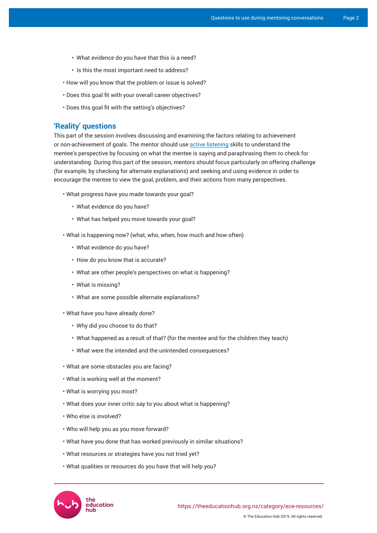- What evidence do you have that this is a need?
- Is this the most important need to address?
- How will you know that the problem or issue is solved?
- Does this goal fit with your overall career objectives?
- Does this goal fit with the setting's objectives?

### **'Reality' questions**

This part of the session involves discussing and examining the factors relating to achievement or non-achievement of goals. The mentor should use [active listening](https://positivepsychology.com/active-listening/) skills to understand the mentee's perspective by focusing on what the mentee is saying and paraphrasing them to check for understanding. During this part of the session, mentors should focus particularly on offering challenge (for example, by checking for alternate explanations) and seeking and using evidence in order to encourage the mentee to view the goal, problem, and their actions from many perspectives.

- What progress have you made towards your goal?
	- What evidence do you have?
	- What has helped you move towards your goal?
- What is happening now? (what, who, when, how much and how often)
	- What evidence do you have?
	- How do you know that is accurate?
	- What are other people's perspectives on what is happening?
	- What is missing?
	- What are some possible alternate explanations?
- What have you have already done?
	- Why did you choose to do that?
	- What happened as a result of that? (for the mentee and for the children they teach)
	- What were the intended and the unintended consequences?
- What are some obstacles you are facing?
- What is working well at the moment?
- What is worrying you most?
- What does your inner critic say to you about what is happening?
- Who else is involved?
- Who will help you as you move forward?
- What have you done that has worked previously in similar situations?
- What resources or strategies have you not tried yet?
- What qualities or resources do you have that will help you?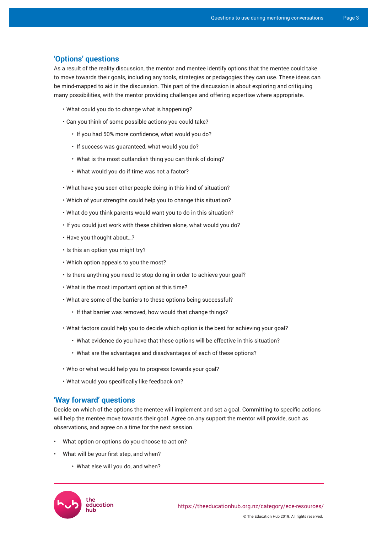# **'Options' questions**

As a result of the reality discussion, the mentor and mentee identify options that the mentee could take to move towards their goals, including any tools, strategies or pedagogies they can use. These ideas can be mind-mapped to aid in the discussion. This part of the discussion is about exploring and critiquing many possibilities, with the mentor providing challenges and offering expertise where appropriate.

- What could you do to change what is happening?
- Can you think of some possible actions you could take?
	- If you had 50% more confidence, what would you do?
	- If success was guaranteed, what would you do?
	- What is the most outlandish thing you can think of doing?
	- What would you do if time was not a factor?
- What have you seen other people doing in this kind of situation?
- Which of your strengths could help you to change this situation?
- What do you think parents would want you to do in this situation?
- If you could just work with these children alone, what would you do?
- Have you thought about…?
- Is this an option you might try?
- Which option appeals to you the most?
- Is there anything you need to stop doing in order to achieve your goal?
- What is the most important option at this time?
- What are some of the barriers to these options being successful?
	- If that barrier was removed, how would that change things?
- What factors could help you to decide which option is the best for achieving your goal?
	- What evidence do you have that these options will be effective in this situation?
	- What are the advantages and disadvantages of each of these options?
- Who or what would help you to progress towards your goal?
- What would you specifically like feedback on?

## **'Way forward' questions**

Decide on which of the options the mentee will implement and set a goal. Committing to specific actions will help the mentee move towards their goal. Agree on any support the mentor will provide, such as observations, and agree on a time for the next session.

- What option or options do you choose to act on?
- What will be your first step, and when?
	- What else will you do, and when?